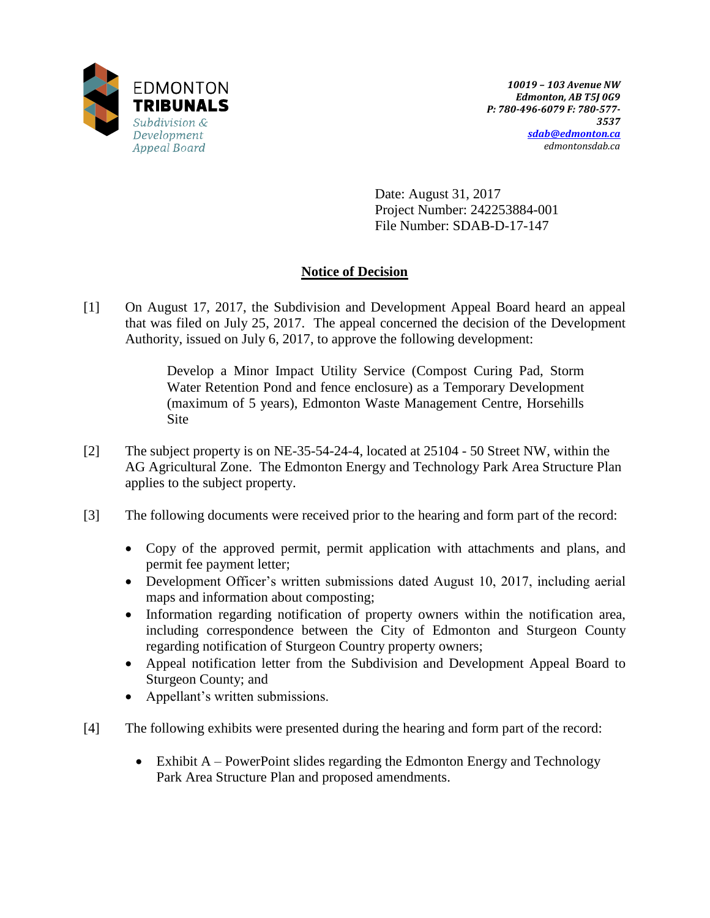

Date: August 31, 2017 Project Number: 242253884-001 File Number: SDAB-D-17-147

# **Notice of Decision**

[1] On August 17, 2017, the Subdivision and Development Appeal Board heard an appeal that was filed on July 25, 2017. The appeal concerned the decision of the Development Authority, issued on July 6, 2017, to approve the following development:

> Develop a Minor Impact Utility Service (Compost Curing Pad, Storm Water Retention Pond and fence enclosure) as a Temporary Development (maximum of 5 years), Edmonton Waste Management Centre, Horsehills Site

- [2] The subject property is on NE-35-54-24-4, located at 25104 50 Street NW, within the AG Agricultural Zone. The Edmonton Energy and Technology Park Area Structure Plan applies to the subject property.
- [3] The following documents were received prior to the hearing and form part of the record:
	- Copy of the approved permit, permit application with attachments and plans, and permit fee payment letter;
	- Development Officer's written submissions dated August 10, 2017, including aerial maps and information about composting;
	- Information regarding notification of property owners within the notification area, including correspondence between the City of Edmonton and Sturgeon County regarding notification of Sturgeon Country property owners;
	- Appeal notification letter from the Subdivision and Development Appeal Board to Sturgeon County; and
	- Appellant's written submissions.
- [4] The following exhibits were presented during the hearing and form part of the record:
	- Exhibit A PowerPoint slides regarding the Edmonton Energy and Technology Park Area Structure Plan and proposed amendments.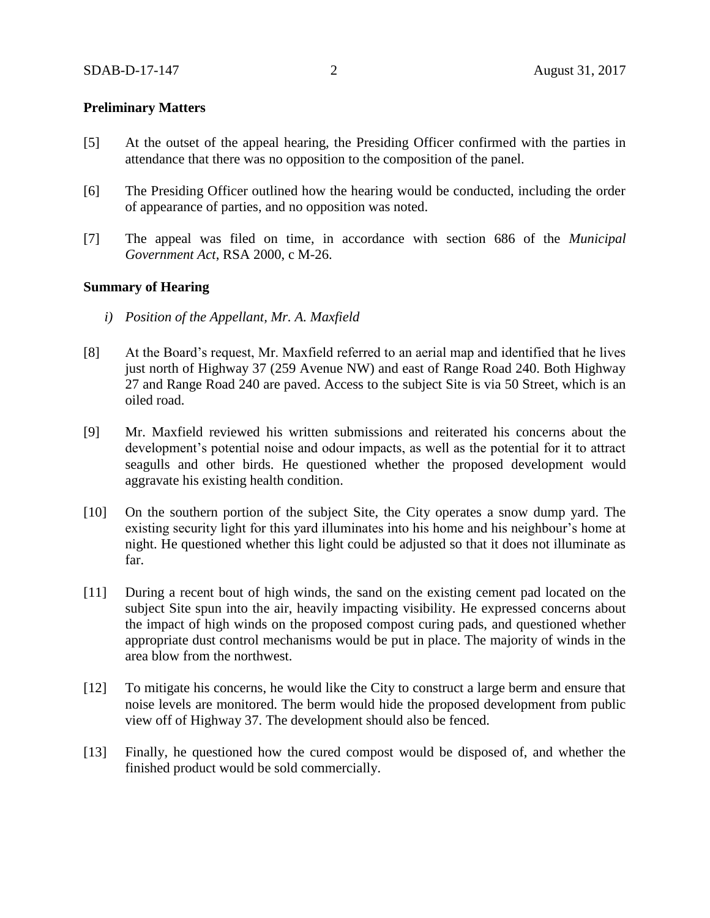### **Preliminary Matters**

- [5] At the outset of the appeal hearing, the Presiding Officer confirmed with the parties in attendance that there was no opposition to the composition of the panel.
- [6] The Presiding Officer outlined how the hearing would be conducted, including the order of appearance of parties, and no opposition was noted.
- [7] The appeal was filed on time, in accordance with section 686 of the *Municipal Government Act*, RSA 2000, c M-26.

#### **Summary of Hearing**

- *i) Position of the Appellant, Mr. A. Maxfield*
- [8] At the Board's request, Mr. Maxfield referred to an aerial map and identified that he lives just north of Highway 37 (259 Avenue NW) and east of Range Road 240. Both Highway 27 and Range Road 240 are paved. Access to the subject Site is via 50 Street, which is an oiled road.
- [9] Mr. Maxfield reviewed his written submissions and reiterated his concerns about the development's potential noise and odour impacts, as well as the potential for it to attract seagulls and other birds. He questioned whether the proposed development would aggravate his existing health condition.
- [10] On the southern portion of the subject Site, the City operates a snow dump yard. The existing security light for this yard illuminates into his home and his neighbour's home at night. He questioned whether this light could be adjusted so that it does not illuminate as far.
- [11] During a recent bout of high winds, the sand on the existing cement pad located on the subject Site spun into the air, heavily impacting visibility. He expressed concerns about the impact of high winds on the proposed compost curing pads, and questioned whether appropriate dust control mechanisms would be put in place. The majority of winds in the area blow from the northwest.
- [12] To mitigate his concerns, he would like the City to construct a large berm and ensure that noise levels are monitored. The berm would hide the proposed development from public view off of Highway 37. The development should also be fenced.
- [13] Finally, he questioned how the cured compost would be disposed of, and whether the finished product would be sold commercially.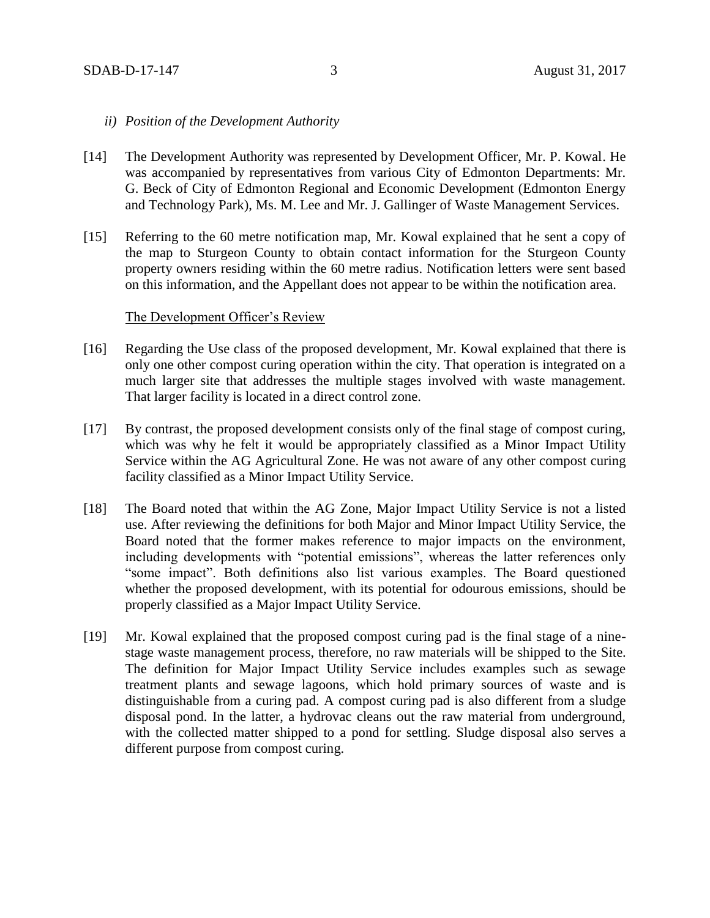#### *ii) Position of the Development Authority*

- [14] The Development Authority was represented by Development Officer, Mr. P. Kowal. He was accompanied by representatives from various City of Edmonton Departments: Mr. G. Beck of City of Edmonton Regional and Economic Development (Edmonton Energy and Technology Park), Ms. M. Lee and Mr. J. Gallinger of Waste Management Services.
- [15] Referring to the 60 metre notification map, Mr. Kowal explained that he sent a copy of the map to Sturgeon County to obtain contact information for the Sturgeon County property owners residing within the 60 metre radius. Notification letters were sent based on this information, and the Appellant does not appear to be within the notification area.

#### The Development Officer's Review

- [16] Regarding the Use class of the proposed development, Mr. Kowal explained that there is only one other compost curing operation within the city. That operation is integrated on a much larger site that addresses the multiple stages involved with waste management. That larger facility is located in a direct control zone.
- [17] By contrast, the proposed development consists only of the final stage of compost curing, which was why he felt it would be appropriately classified as a Minor Impact Utility Service within the AG Agricultural Zone. He was not aware of any other compost curing facility classified as a Minor Impact Utility Service.
- [18] The Board noted that within the AG Zone, Major Impact Utility Service is not a listed use. After reviewing the definitions for both Major and Minor Impact Utility Service, the Board noted that the former makes reference to major impacts on the environment, including developments with "potential emissions", whereas the latter references only "some impact". Both definitions also list various examples. The Board questioned whether the proposed development, with its potential for odourous emissions, should be properly classified as a Major Impact Utility Service.
- [19] Mr. Kowal explained that the proposed compost curing pad is the final stage of a ninestage waste management process, therefore, no raw materials will be shipped to the Site. The definition for Major Impact Utility Service includes examples such as sewage treatment plants and sewage lagoons, which hold primary sources of waste and is distinguishable from a curing pad. A compost curing pad is also different from a sludge disposal pond. In the latter, a hydrovac cleans out the raw material from underground, with the collected matter shipped to a pond for settling. Sludge disposal also serves a different purpose from compost curing.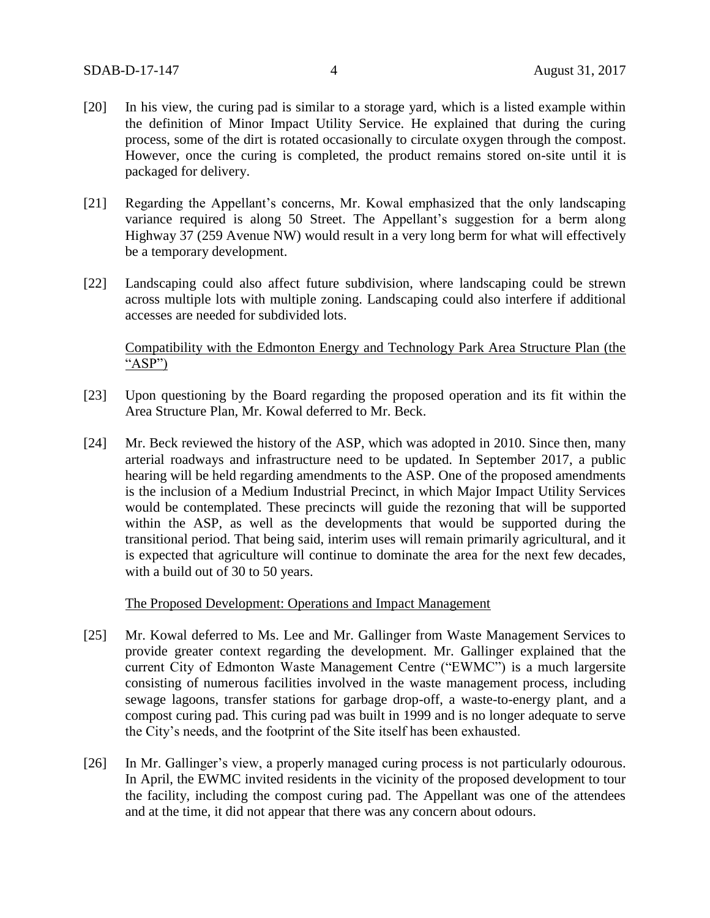- [20] In his view, the curing pad is similar to a storage yard, which is a listed example within the definition of Minor Impact Utility Service. He explained that during the curing process, some of the dirt is rotated occasionally to circulate oxygen through the compost. However, once the curing is completed, the product remains stored on-site until it is packaged for delivery.
- [21] Regarding the Appellant's concerns, Mr. Kowal emphasized that the only landscaping variance required is along 50 Street. The Appellant's suggestion for a berm along Highway 37 (259 Avenue NW) would result in a very long berm for what will effectively be a temporary development.
- [22] Landscaping could also affect future subdivision, where landscaping could be strewn across multiple lots with multiple zoning. Landscaping could also interfere if additional accesses are needed for subdivided lots.

### Compatibility with the Edmonton Energy and Technology Park Area Structure Plan (the "ASP")

- [23] Upon questioning by the Board regarding the proposed operation and its fit within the Area Structure Plan, Mr. Kowal deferred to Mr. Beck.
- [24] Mr. Beck reviewed the history of the ASP, which was adopted in 2010. Since then, many arterial roadways and infrastructure need to be updated. In September 2017, a public hearing will be held regarding amendments to the ASP. One of the proposed amendments is the inclusion of a Medium Industrial Precinct, in which Major Impact Utility Services would be contemplated. These precincts will guide the rezoning that will be supported within the ASP, as well as the developments that would be supported during the transitional period. That being said, interim uses will remain primarily agricultural, and it is expected that agriculture will continue to dominate the area for the next few decades, with a build out of 30 to 50 years.

#### The Proposed Development: Operations and Impact Management

- [25] Mr. Kowal deferred to Ms. Lee and Mr. Gallinger from Waste Management Services to provide greater context regarding the development. Mr. Gallinger explained that the current City of Edmonton Waste Management Centre ("EWMC") is a much largersite consisting of numerous facilities involved in the waste management process, including sewage lagoons, transfer stations for garbage drop-off, a waste-to-energy plant, and a compost curing pad. This curing pad was built in 1999 and is no longer adequate to serve the City's needs, and the footprint of the Site itself has been exhausted.
- [26] In Mr. Gallinger's view, a properly managed curing process is not particularly odourous. In April, the EWMC invited residents in the vicinity of the proposed development to tour the facility, including the compost curing pad. The Appellant was one of the attendees and at the time, it did not appear that there was any concern about odours.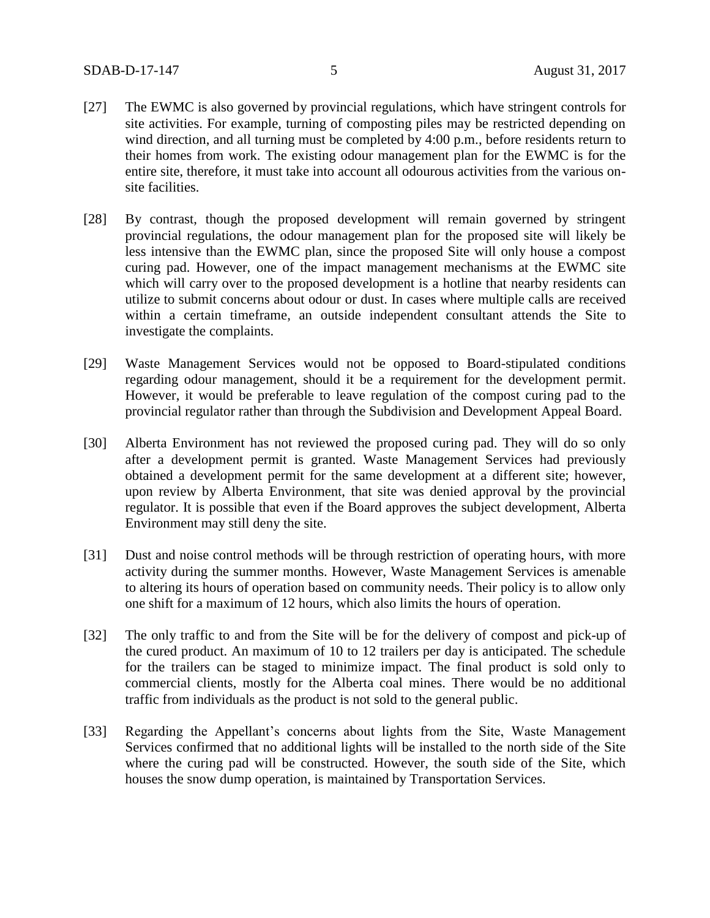- [27] The EWMC is also governed by provincial regulations, which have stringent controls for site activities. For example, turning of composting piles may be restricted depending on wind direction, and all turning must be completed by 4:00 p.m., before residents return to their homes from work. The existing odour management plan for the EWMC is for the entire site, therefore, it must take into account all odourous activities from the various onsite facilities.
- [28] By contrast, though the proposed development will remain governed by stringent provincial regulations, the odour management plan for the proposed site will likely be less intensive than the EWMC plan, since the proposed Site will only house a compost curing pad. However, one of the impact management mechanisms at the EWMC site which will carry over to the proposed development is a hotline that nearby residents can utilize to submit concerns about odour or dust. In cases where multiple calls are received within a certain timeframe, an outside independent consultant attends the Site to investigate the complaints.
- [29] Waste Management Services would not be opposed to Board-stipulated conditions regarding odour management, should it be a requirement for the development permit. However, it would be preferable to leave regulation of the compost curing pad to the provincial regulator rather than through the Subdivision and Development Appeal Board.
- [30] Alberta Environment has not reviewed the proposed curing pad. They will do so only after a development permit is granted. Waste Management Services had previously obtained a development permit for the same development at a different site; however, upon review by Alberta Environment, that site was denied approval by the provincial regulator. It is possible that even if the Board approves the subject development, Alberta Environment may still deny the site.
- [31] Dust and noise control methods will be through restriction of operating hours, with more activity during the summer months. However, Waste Management Services is amenable to altering its hours of operation based on community needs. Their policy is to allow only one shift for a maximum of 12 hours, which also limits the hours of operation.
- [32] The only traffic to and from the Site will be for the delivery of compost and pick-up of the cured product. An maximum of 10 to 12 trailers per day is anticipated. The schedule for the trailers can be staged to minimize impact. The final product is sold only to commercial clients, mostly for the Alberta coal mines. There would be no additional traffic from individuals as the product is not sold to the general public.
- [33] Regarding the Appellant's concerns about lights from the Site, Waste Management Services confirmed that no additional lights will be installed to the north side of the Site where the curing pad will be constructed. However, the south side of the Site, which houses the snow dump operation, is maintained by Transportation Services.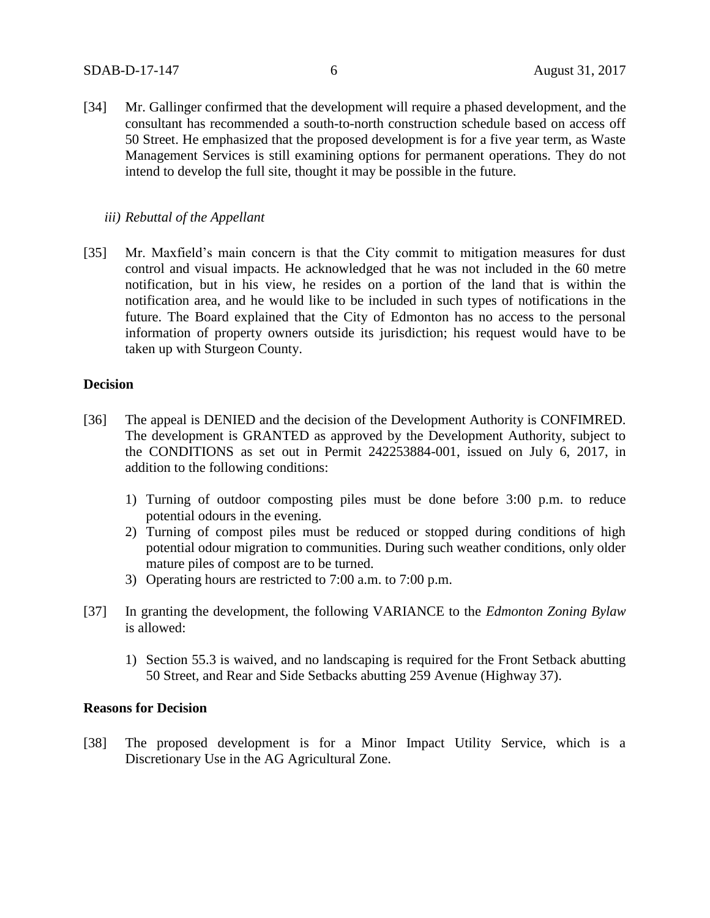[34] Mr. Gallinger confirmed that the development will require a phased development, and the consultant has recommended a south-to-north construction schedule based on access off 50 Street. He emphasized that the proposed development is for a five year term, as Waste Management Services is still examining options for permanent operations. They do not intend to develop the full site, thought it may be possible in the future.

### *iii) Rebuttal of the Appellant*

[35] Mr. Maxfield's main concern is that the City commit to mitigation measures for dust control and visual impacts. He acknowledged that he was not included in the 60 metre notification, but in his view, he resides on a portion of the land that is within the notification area, and he would like to be included in such types of notifications in the future. The Board explained that the City of Edmonton has no access to the personal information of property owners outside its jurisdiction; his request would have to be taken up with Sturgeon County.

# **Decision**

- [36] The appeal is DENIED and the decision of the Development Authority is CONFIMRED. The development is GRANTED as approved by the Development Authority, subject to the CONDITIONS as set out in Permit 242253884-001, issued on July 6, 2017, in addition to the following conditions:
	- 1) Turning of outdoor composting piles must be done before 3:00 p.m. to reduce potential odours in the evening.
	- 2) Turning of compost piles must be reduced or stopped during conditions of high potential odour migration to communities. During such weather conditions, only older mature piles of compost are to be turned.
	- 3) Operating hours are restricted to 7:00 a.m. to 7:00 p.m.
- [37] In granting the development, the following VARIANCE to the *Edmonton Zoning Bylaw* is allowed:
	- 1) Section 55.3 is waived, and no landscaping is required for the Front Setback abutting 50 Street, and Rear and Side Setbacks abutting 259 Avenue (Highway 37).

# **Reasons for Decision**

[38] The proposed development is for a Minor Impact Utility Service, which is a Discretionary Use in the AG Agricultural Zone.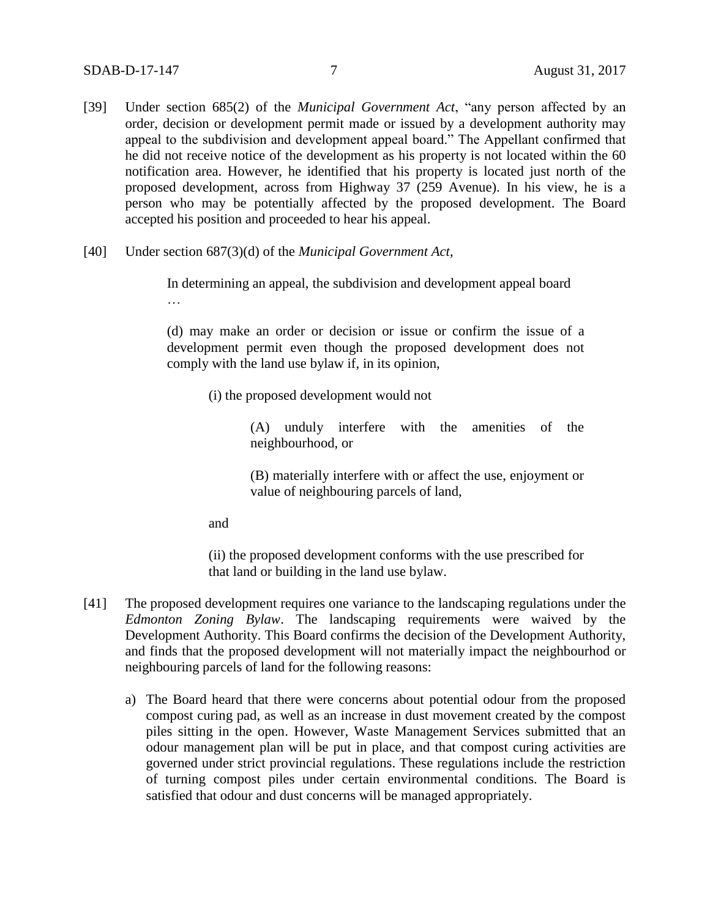- [39] Under section 685(2) of the *Municipal Government Act*, "any person affected by an order, decision or development permit made or issued by a development authority may appeal to the subdivision and development appeal board." The Appellant confirmed that he did not receive notice of the development as his property is not located within the 60 notification area. However, he identified that his property is located just north of the proposed development, across from Highway 37 (259 Avenue). In his view, he is a person who may be potentially affected by the proposed development. The Board accepted his position and proceeded to hear his appeal.
- [40] Under section 687(3)(d) of the *Municipal Government Act*,

In determining an appeal, the subdivision and development appeal board …

(d) may make an order or decision or issue or confirm the issue of a development permit even though the proposed development does not comply with the land use bylaw if, in its opinion,

(i) the proposed development would not

(A) unduly interfere with the amenities of the neighbourhood, or

(B) materially interfere with or affect the use, enjoyment or value of neighbouring parcels of land,

and

(ii) the proposed development conforms with the use prescribed for that land or building in the land use bylaw.

- [41] The proposed development requires one variance to the landscaping regulations under the *Edmonton Zoning Bylaw*. The landscaping requirements were waived by the Development Authority. This Board confirms the decision of the Development Authority, and finds that the proposed development will not materially impact the neighbourhod or neighbouring parcels of land for the following reasons:
	- a) The Board heard that there were concerns about potential odour from the proposed compost curing pad, as well as an increase in dust movement created by the compost piles sitting in the open. However, Waste Management Services submitted that an odour management plan will be put in place, and that compost curing activities are governed under strict provincial regulations. These regulations include the restriction of turning compost piles under certain environmental conditions. The Board is satisfied that odour and dust concerns will be managed appropriately.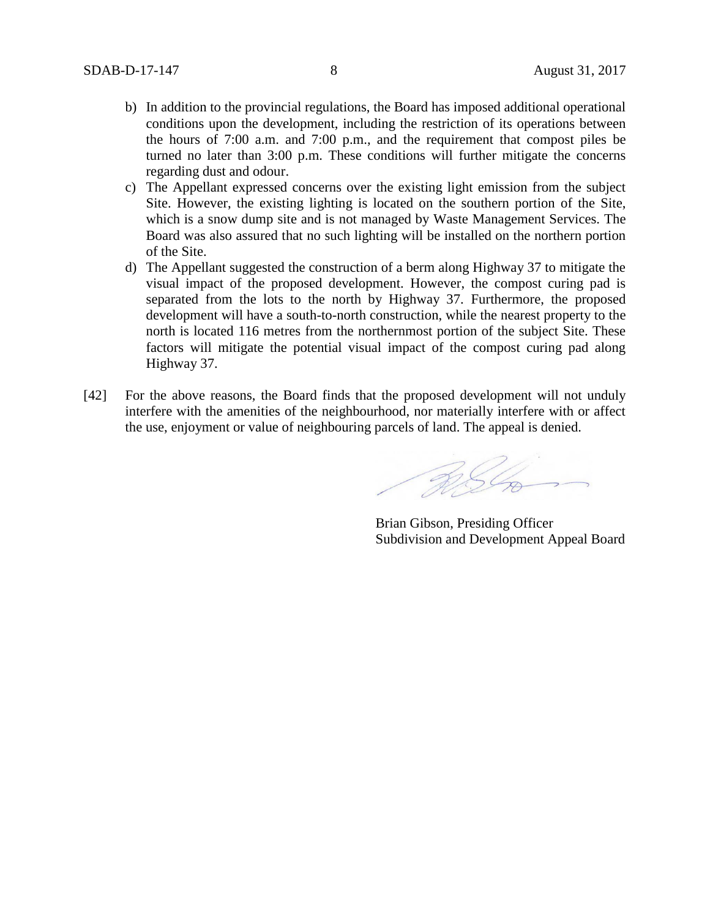- b) In addition to the provincial regulations, the Board has imposed additional operational conditions upon the development, including the restriction of its operations between the hours of 7:00 a.m. and 7:00 p.m., and the requirement that compost piles be turned no later than 3:00 p.m. These conditions will further mitigate the concerns regarding dust and odour.
- c) The Appellant expressed concerns over the existing light emission from the subject Site. However, the existing lighting is located on the southern portion of the Site, which is a snow dump site and is not managed by Waste Management Services. The Board was also assured that no such lighting will be installed on the northern portion of the Site.
- d) The Appellant suggested the construction of a berm along Highway 37 to mitigate the visual impact of the proposed development. However, the compost curing pad is separated from the lots to the north by Highway 37. Furthermore, the proposed development will have a south-to-north construction, while the nearest property to the north is located 116 metres from the northernmost portion of the subject Site. These factors will mitigate the potential visual impact of the compost curing pad along Highway 37.
- [42] For the above reasons, the Board finds that the proposed development will not unduly interfere with the amenities of the neighbourhood, nor materially interfere with or affect the use, enjoyment or value of neighbouring parcels of land. The appeal is denied.

RS Com

Brian Gibson, Presiding Officer Subdivision and Development Appeal Board